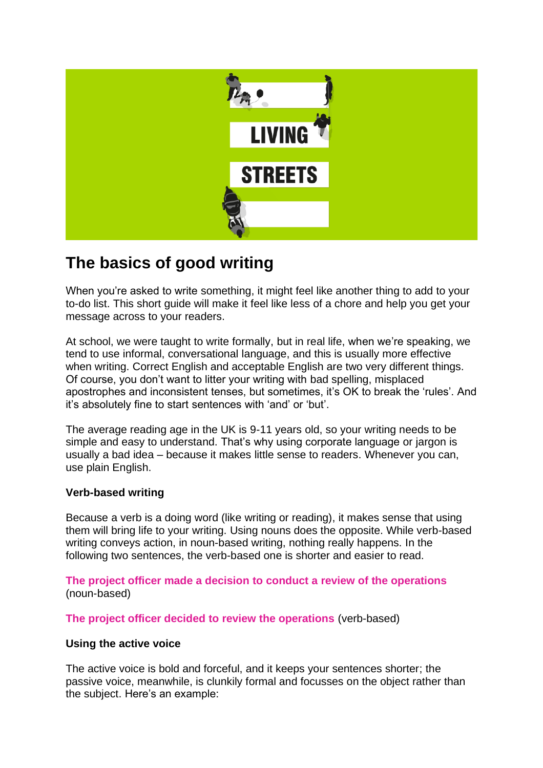

# **The basics of good writing**

When you're asked to write something, it might feel like another thing to add to your to-do list. This short guide will make it feel like less of a chore and help you get your message across to your readers.

At school, we were taught to write formally, but in real life, when we're speaking, we tend to use informal, conversational language, and this is usually more effective when writing. Correct English and acceptable English are two very different things. Of course, you don't want to litter your writing with bad spelling, misplaced apostrophes and inconsistent tenses, but sometimes, it's OK to break the 'rules'. And it's absolutely fine to start sentences with 'and' or 'but'.

The average reading age in the UK is 9-11 years old, so your writing needs to be simple and easy to understand. That's why using corporate language or jargon is usually a bad idea – because it makes little sense to readers. Whenever you can, use plain English.

## **Verb-based writing**

Because a verb is a doing word (like writing or reading), it makes sense that using them will bring life to your writing. Using nouns does the opposite. While verb-based writing conveys action, in noun-based writing, nothing really happens. In the following two sentences, the verb-based one is shorter and easier to read.

**The project officer made a decision to conduct a review of the operations** (noun-based)

**The project officer decided to review the operations** (verb-based)

#### **Using the active voice**

The active voice is bold and forceful, and it keeps your sentences shorter; the passive voice, meanwhile, is clunkily formal and focusses on the object rather than the subject. Here's an example: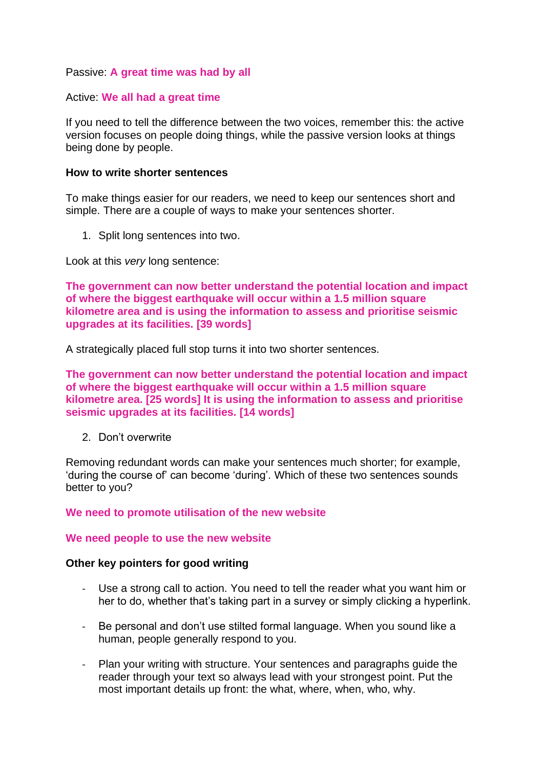### Passive: **A great time was had by all**

#### Active: **We all had a great time**

If you need to tell the difference between the two voices, remember this: the active version focuses on people doing things, while the passive version looks at things being done by people.

#### **How to write shorter sentences**

To make things easier for our readers, we need to keep our sentences short and simple. There are a couple of ways to make your sentences shorter.

1. Split long sentences into two.

Look at this *very* long sentence:

**The government can now better understand the potential location and impact of where the biggest earthquake will occur within a 1.5 million square kilometre area and is using the information to assess and prioritise seismic upgrades at its facilities. [39 words]**

A strategically placed full stop turns it into two shorter sentences.

**The government can now better understand the potential location and impact of where the biggest earthquake will occur within a 1.5 million square kilometre area. [25 words] It is using the information to assess and prioritise seismic upgrades at its facilities. [14 words]**

2. Don't overwrite

Removing redundant words can make your sentences much shorter; for example, 'during the course of' can become 'during'. Which of these two sentences sounds better to you?

#### **We need to promote utilisation of the new website**

#### **We need people to use the new website**

#### **Other key pointers for good writing**

- Use a strong call to action. You need to tell the reader what you want him or her to do, whether that's taking part in a survey or simply clicking a hyperlink.
- Be personal and don't use stilted formal language. When you sound like a human, people generally respond to you.
- Plan your writing with structure. Your sentences and paragraphs guide the reader through your text so always lead with your strongest point. Put the most important details up front: the what, where, when, who, why.